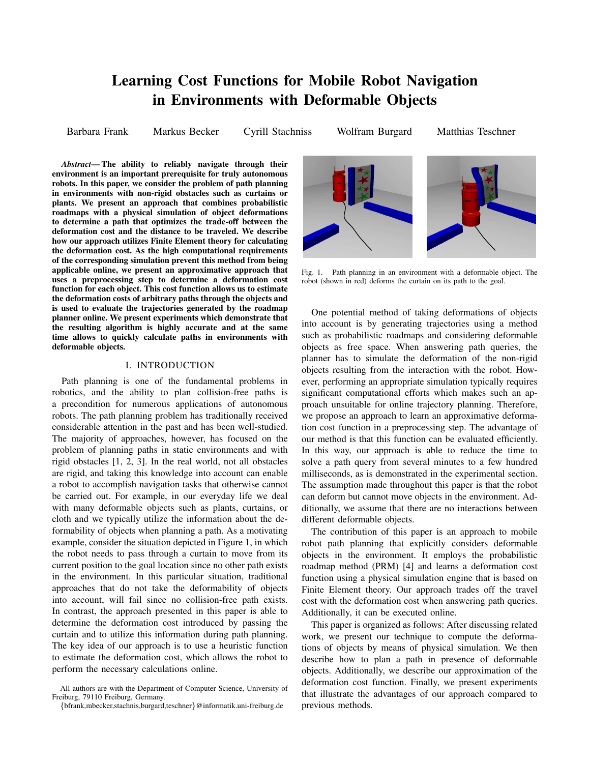# **Learning Cost Functions for Mobile Robot Navigation in Environments with Deformable Objects**

Barbara Frank Markus Becker Cyrill Stachniss Wolfram Burgard Matthias Teschner

*Abstract***— The ability to reliably navigate through their environment is an important prerequisite for truly autonomous robots. In this paper, we consider the problem of path planning in environments with non-rigid obstacles such as curtains or plants. We present an approach that combines probabilistic roadmaps with a physical simulation of object deformations to determine a path that optimizes the trade-off between the deformation cost and the distance to be traveled. We describe how our approach utilizes Finite Element theory for calculating the deformation cost. As the high computational requirements of the corresponding simulation prevent this method from being applicable online, we present an approximative approach that uses a preprocessing step to determine a deformation cost function for each object. This cost function allows us to estimate the deformation costs of arbitrary paths through the objects and is used to evaluate the trajectories generated by the roadmap planner online. We present experiments which demonstrate that the resulting algorithm is highly accurate and at the same time allows to quickly calculate paths in environments with deformable objects.**

## I. INTRODUCTION

Path planning is one of the fundamental problems in robotics, and the ability to plan collision-free paths is a precondition for numerous applications of autonomous robots. The path planning problem has traditionally received considerable attention in the past and has been well-studied. The majority of approaches, however, has focused on the problem of planning paths in static environments and with rigid obstacles [1, 2, 3]. In the real world, not all obstacles are rigid, and taking this knowledge into account can enable a robot to accomplish navigation tasks that otherwise cannot be carried out. For example, in our everyday life we deal with many deformable objects such as plants, curtains, or cloth and we typically utilize the information about the deformability of objects when planning a path. As a motivating example, consider the situation depicted in Figure 1, in which the robot needs to pass through a curtain to move from its current position to the goal location since no other path exists in the environment. In this particular situation, traditional approaches that do not take the deformability of objects into account, will fail since no collision-free path exists. In contrast, the approach presented in this paper is able to determine the deformation cost introduced by passing the curtain and to utilize this information during path planning. The key idea of our approach is to use a heuristic function to estimate the deformation cost, which allows the robot to perform the necessary calculations online.



Fig. 1. Path planning in an environment with a deformable object. The robot (shown in red) deforms the curtain on its path to the goal.

One potential method of taking deformations of objects into account is by generating trajectories using a method such as probabilistic roadmaps and considering deformable objects as free space. When answering path queries, the planner has to simulate the deformation of the non-rigid objects resulting from the interaction with the robot. However, performing an appropriate simulation typically requires significant computational efforts which makes such an approach unsuitable for online trajectory planning. Therefore, we propose an approach to learn an approximative deformation cost function in a preprocessing step. The advantage of our method is that this function can be evaluated efficiently. In this way, our approach is able to reduce the time to solve a path query from several minutes to a few hundred milliseconds, as is demonstrated in the experimental section. The assumption made throughout this paper is that the robot can deform but cannot move objects in the environment. Additionally, we assume that there are no interactions between different deformable objects.

The contribution of this paper is an approach to mobile robot path planning that explicitly considers deformable objects in the environment. It employs the probabilistic roadmap method (PRM) [4] and learns a deformation cost function using a physical simulation engine that is based on Finite Element theory. Our approach trades off the travel cost with the deformation cost when answering path queries. Additionally, it can be executed online.

This paper is organized as follows: After discussing related work, we present our technique to compute the deformations of objects by means of physical simulation. We then describe how to plan a path in presence of deformable objects. Additionally, we describe our approximation of the deformation cost function. Finally, we present experiments that illustrate the advantages of our approach compared to previous methods.

All authors are with the Department of Computer Science, University of Freiburg, 79110 Freiburg, Germany.

<sup>{</sup>bfrank,mbecker,stachnis,burgard,teschner}@informatik.uni-freiburg.de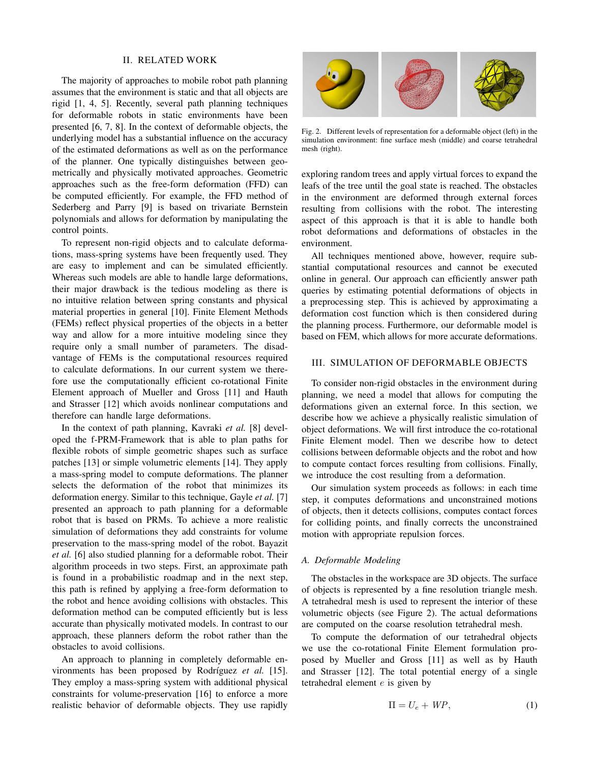## II. RELATED WORK

The majority of approaches to mobile robot path planning assumes that the environment is static and that all objects are rigid [1, 4, 5]. Recently, several path planning techniques for deformable robots in static environments have been presented [6, 7, 8]. In the context of deformable objects, the underlying model has a substantial influence on the accuracy of the estimated deformations as well as on the performance of the planner. One typically distinguishes between geometrically and physically motivated approaches. Geometric approaches such as the free-form deformation (FFD) can be computed efficiently. For example, the FFD method of Sederberg and Parry [9] is based on trivariate Bernstein polynomials and allows for deformation by manipulating the control points.

To represent non-rigid objects and to calculate deformations, mass-spring systems have been frequently used. They are easy to implement and can be simulated efficiently. Whereas such models are able to handle large deformations, their major drawback is the tedious modeling as there is no intuitive relation between spring constants and physical material properties in general [10]. Finite Element Methods (FEMs) reflect physical properties of the objects in a better way and allow for a more intuitive modeling since they require only a small number of parameters. The disadvantage of FEMs is the computational resources required to calculate deformations. In our current system we therefore use the computationally efficient co-rotational Finite Element approach of Mueller and Gross [11] and Hauth and Strasser [12] which avoids nonlinear computations and therefore can handle large deformations.

In the context of path planning, Kavraki *et al.* [8] developed the f-PRM-Framework that is able to plan paths for flexible robots of simple geometric shapes such as surface patches [13] or simple volumetric elements [14]. They apply a mass-spring model to compute deformations. The planner selects the deformation of the robot that minimizes its deformation energy. Similar to this technique, Gayle *et al.* [7] presented an approach to path planning for a deformable robot that is based on PRMs. To achieve a more realistic simulation of deformations they add constraints for volume preservation to the mass-spring model of the robot. Bayazit *et al.* [6] also studied planning for a deformable robot. Their algorithm proceeds in two steps. First, an approximate path is found in a probabilistic roadmap and in the next step, this path is refined by applying a free-form deformation to the robot and hence avoiding collisions with obstacles. This deformation method can be computed efficiently but is less accurate than physically motivated models. In contrast to our approach, these planners deform the robot rather than the obstacles to avoid collisions.

An approach to planning in completely deformable environments has been proposed by Rodríguez *et al.* [15]. They employ a mass-spring system with additional physical constraints for volume-preservation [16] to enforce a more realistic behavior of deformable objects. They use rapidly



Fig. 2. Different levels of representation for a deformable object (left) in the simulation environment: fine surface mesh (middle) and coarse tetrahedral mesh (right).

exploring random trees and apply virtual forces to expand the leafs of the tree until the goal state is reached. The obstacles in the environment are deformed through external forces resulting from collisions with the robot. The interesting aspect of this approach is that it is able to handle both robot deformations and deformations of obstacles in the environment.

All techniques mentioned above, however, require substantial computational resources and cannot be executed online in general. Our approach can efficiently answer path queries by estimating potential deformations of objects in a preprocessing step. This is achieved by approximating a deformation cost function which is then considered during the planning process. Furthermore, our deformable model is based on FEM, which allows for more accurate deformations.

### III. SIMULATION OF DEFORMABLE OBJECTS

To consider non-rigid obstacles in the environment during planning, we need a model that allows for computing the deformations given an external force. In this section, we describe how we achieve a physically realistic simulation of object deformations. We will first introduce the co-rotational Finite Element model. Then we describe how to detect collisions between deformable objects and the robot and how to compute contact forces resulting from collisions. Finally, we introduce the cost resulting from a deformation.

Our simulation system proceeds as follows: in each time step, it computes deformations and unconstrained motions of objects, then it detects collisions, computes contact forces for colliding points, and finally corrects the unconstrained motion with appropriate repulsion forces.

## *A. Deformable Modeling*

The obstacles in the workspace are 3D objects. The surface of objects is represented by a fine resolution triangle mesh. A tetrahedral mesh is used to represent the interior of these volumetric objects (see Figure 2). The actual deformations are computed on the coarse resolution tetrahedral mesh.

To compute the deformation of our tetrahedral objects we use the co-rotational Finite Element formulation proposed by Mueller and Gross [11] as well as by Hauth and Strasser [12]. The total potential energy of a single tetrahedral element e is given by

$$
\Pi = U_e + W P, \tag{1}
$$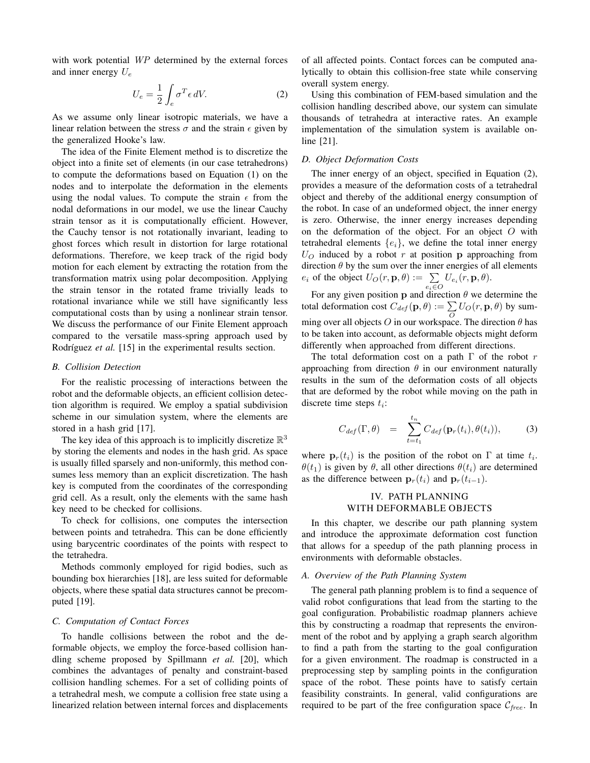with work potential WP determined by the external forces and inner energy  $U_e$ 

$$
U_e = \frac{1}{2} \int_e \sigma^T \epsilon \, dV. \tag{2}
$$

As we assume only linear isotropic materials, we have a linear relation between the stress  $\sigma$  and the strain  $\epsilon$  given by the generalized Hooke's law.

The idea of the Finite Element method is to discretize the object into a finite set of elements (in our case tetrahedrons) to compute the deformations based on Equation (1) on the nodes and to interpolate the deformation in the elements using the nodal values. To compute the strain  $\epsilon$  from the nodal deformations in our model, we use the linear Cauchy strain tensor as it is computationally efficient. However, the Cauchy tensor is not rotationally invariant, leading to ghost forces which result in distortion for large rotational deformations. Therefore, we keep track of the rigid body motion for each element by extracting the rotation from the transformation matrix using polar decomposition. Applying the strain tensor in the rotated frame trivially leads to rotational invariance while we still have significantly less computational costs than by using a nonlinear strain tensor. We discuss the performance of our Finite Element approach compared to the versatile mass-spring approach used by Rodríguez *et al.* [15] in the experimental results section.

## *B. Collision Detection*

For the realistic processing of interactions between the robot and the deformable objects, an efficient collision detection algorithm is required. We employ a spatial subdivision scheme in our simulation system, where the elements are stored in a hash grid [17].

The key idea of this approach is to implicitly discretize  $\mathbb{R}^3$ by storing the elements and nodes in the hash grid. As space is usually filled sparsely and non-uniformly, this method consumes less memory than an explicit discretization. The hash key is computed from the coordinates of the corresponding grid cell. As a result, only the elements with the same hash key need to be checked for collisions.

To check for collisions, one computes the intersection between points and tetrahedra. This can be done efficiently using barycentric coordinates of the points with respect to the tetrahedra.

Methods commonly employed for rigid bodies, such as bounding box hierarchies [18], are less suited for deformable objects, where these spatial data structures cannot be precomputed [19].

## *C. Computation of Contact Forces*

To handle collisions between the robot and the deformable objects, we employ the force-based collision handling scheme proposed by Spillmann *et al.* [20], which combines the advantages of penalty and constraint-based collision handling schemes. For a set of colliding points of a tetrahedral mesh, we compute a collision free state using a linearized relation between internal forces and displacements of all affected points. Contact forces can be computed analytically to obtain this collision-free state while conserving overall system energy.

Using this combination of FEM-based simulation and the collision handling described above, our system can simulate thousands of tetrahedra at interactive rates. An example implementation of the simulation system is available online [21].

## *D. Object Deformation Costs*

The inner energy of an object, specified in Equation (2), provides a measure of the deformation costs of a tetrahedral object and thereby of the additional energy consumption of the robot. In case of an undeformed object, the inner energy is zero. Otherwise, the inner energy increases depending on the deformation of the object. For an object  $O$  with tetrahedral elements  ${e_i}$ , we define the total inner energy  $U_O$  induced by a robot r at position p approaching from direction  $\theta$  by the sum over the inner energies of all elements  $e_i$  of the object  $U_O(r, \mathbf{p}, \theta) := \sum_{e_i \in O} U_{e_i}(r, \mathbf{p}, \theta)$ .

For any given position  $p$  and direction  $\theta$  we determine the total deformation cost  $C_{def}(\mathbf{p},\theta) := \sum_{O} U_O(r, \mathbf{p}, \theta)$  by summing over all objects O in our workspace. The direction  $\theta$  has to be taken into account, as deformable objects might deform differently when approached from different directions.

The total deformation cost on a path  $\Gamma$  of the robot  $r$ approaching from direction  $\theta$  in our environment naturally results in the sum of the deformation costs of all objects that are deformed by the robot while moving on the path in discrete time steps  $t_i$ :

$$
C_{def}(\Gamma, \theta) = \sum_{t=t_1}^{t_n} C_{def}(\mathbf{p}_r(t_i), \theta(t_i)), \qquad (3)
$$

where  $\mathbf{p}_r(t_i)$  is the position of the robot on  $\Gamma$  at time  $t_i$ .  $\theta(t_1)$  is given by  $\theta$ , all other directions  $\theta(t_i)$  are determined as the difference between  $\mathbf{p}_r(t_i)$  and  $\mathbf{p}_r(t_{i-1})$ .

## IV. PATH PLANNING WITH DEFORMABLE OBJECTS

In this chapter, we describe our path planning system and introduce the approximate deformation cost function that allows for a speedup of the path planning process in environments with deformable obstacles.

#### *A. Overview of the Path Planning System*

The general path planning problem is to find a sequence of valid robot configurations that lead from the starting to the goal configuration. Probabilistic roadmap planners achieve this by constructing a roadmap that represents the environment of the robot and by applying a graph search algorithm to find a path from the starting to the goal configuration for a given environment. The roadmap is constructed in a preprocessing step by sampling points in the configuration space of the robot. These points have to satisfy certain feasibility constraints. In general, valid configurations are required to be part of the free configuration space  $C_{free}$ . In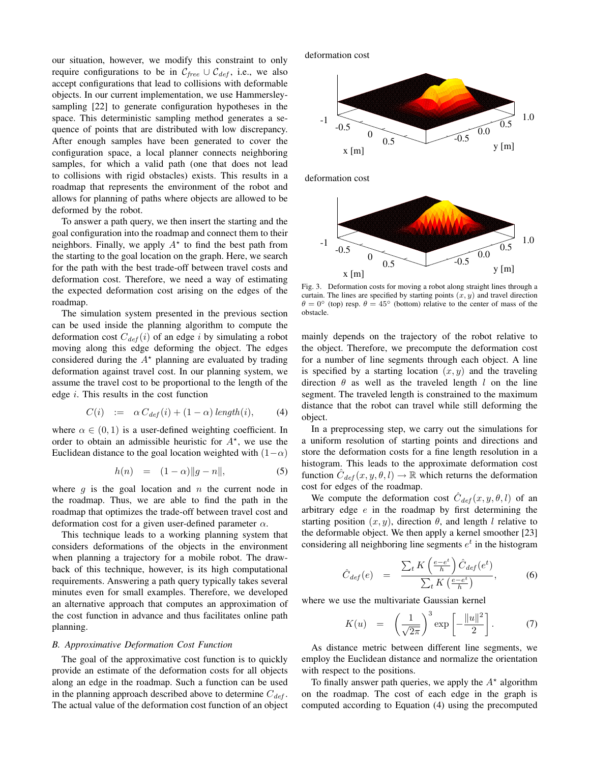our situation, however, we modify this constraint to only require configurations to be in  $\mathcal{C}_{free} \cup \mathcal{C}_{def}$ , i.e., we also accept configurations that lead to collisions with deformable objects. In our current implementation, we use Hammersleysampling [22] to generate configuration hypotheses in the space. This deterministic sampling method generates a sequence of points that are distributed with low discrepancy. After enough samples have been generated to cover the configuration space, a local planner connects neighboring samples, for which a valid path (one that does not lead to collisions with rigid obstacles) exists. This results in a roadmap that represents the environment of the robot and allows for planning of paths where objects are allowed to be deformed by the robot.

To answer a path query, we then insert the starting and the goal configuration into the roadmap and connect them to their neighbors. Finally, we apply  $A^*$  to find the best path from the starting to the goal location on the graph. Here, we search for the path with the best trade-off between travel costs and deformation cost. Therefore, we need a way of estimating the expected deformation cost arising on the edges of the roadmap.

The simulation system presented in the previous section can be used inside the planning algorithm to compute the deformation cost  $C_{def}(i)$  of an edge i by simulating a robot moving along this edge deforming the object. The edges considered during the  $A^*$  planning are evaluated by trading deformation against travel cost. In our planning system, we assume the travel cost to be proportional to the length of the edge  $i$ . This results in the cost function

$$
C(i) := \alpha C_{def}(i) + (1 - \alpha) \operatorname{length}(i), \qquad (4)
$$

where  $\alpha \in (0, 1)$  is a user-defined weighting coefficient. In order to obtain an admissible heuristic for  $A^*$ , we use the Euclidean distance to the goal location weighted with  $(1-\alpha)$ 

$$
h(n) = (1 - \alpha) \|g - n\|, \tag{5}
$$

where  $q$  is the goal location and  $n$  the current node in the roadmap. Thus, we are able to find the path in the roadmap that optimizes the trade-off between travel cost and deformation cost for a given user-defined parameter  $\alpha$ .

This technique leads to a working planning system that considers deformations of the objects in the environment when planning a trajectory for a mobile robot. The drawback of this technique, however, is its high computational requirements. Answering a path query typically takes several minutes even for small examples. Therefore, we developed an alternative approach that computes an approximation of the cost function in advance and thus facilitates online path planning.

## *B. Approximative Deformation Cost Function*

The goal of the approximative cost function is to quickly provide an estimate of the deformation costs for all objects along an edge in the roadmap. Such a function can be used in the planning approach described above to determine  $C_{def}$ . The actual value of the deformation cost function of an object

deformation cost



deformation cost



Fig. 3. Deformation costs for moving a robot along straight lines through a curtain. The lines are specified by starting points  $(x, y)$  and travel direction  $\theta = 0^{\circ}$  (top) resp.  $\theta = 45^{\circ}$  (bottom) relative to the center of mass of the obstacle.

mainly depends on the trajectory of the robot relative to the object. Therefore, we precompute the deformation cost for a number of line segments through each object. A line is specified by a starting location  $(x, y)$  and the traveling direction  $\theta$  as well as the traveled length l on the line segment. The traveled length is constrained to the maximum distance that the robot can travel while still deforming the object.

In a preprocessing step, we carry out the simulations for a uniform resolution of starting points and directions and store the deformation costs for a fine length resolution in a histogram. This leads to the approximate deformation cost function  $\hat{C}_{def}(x, y, \theta, l) \rightarrow \mathbb{R}$  which returns the deformation cost for edges of the roadmap.

We compute the deformation cost  $\hat{C}_{def}(x, y, \theta, l)$  of an arbitrary edge e in the roadmap by first determining the starting position  $(x, y)$ , direction  $\theta$ , and length l relative to the deformable object. We then apply a kernel smoother [23] considering all neighboring line segments  $e^t$  in the histogram

$$
\hat{C}_{def}(e) = \frac{\sum_{t} K\left(\frac{e-e^{t}}{h}\right) \hat{C}_{def}(e^{t})}{\sum_{t} K\left(\frac{e-e^{t}}{h}\right)},
$$
\n(6)

where we use the multivariate Gaussian kernel

$$
K(u) = \left(\frac{1}{\sqrt{2\pi}}\right)^3 \exp\left[-\frac{\|u\|^2}{2}\right].
$$
 (7)

As distance metric between different line segments, we employ the Euclidean distance and normalize the orientation with respect to the positions.

To finally answer path queries, we apply the  $A^*$  algorithm on the roadmap. The cost of each edge in the graph is computed according to Equation (4) using the precomputed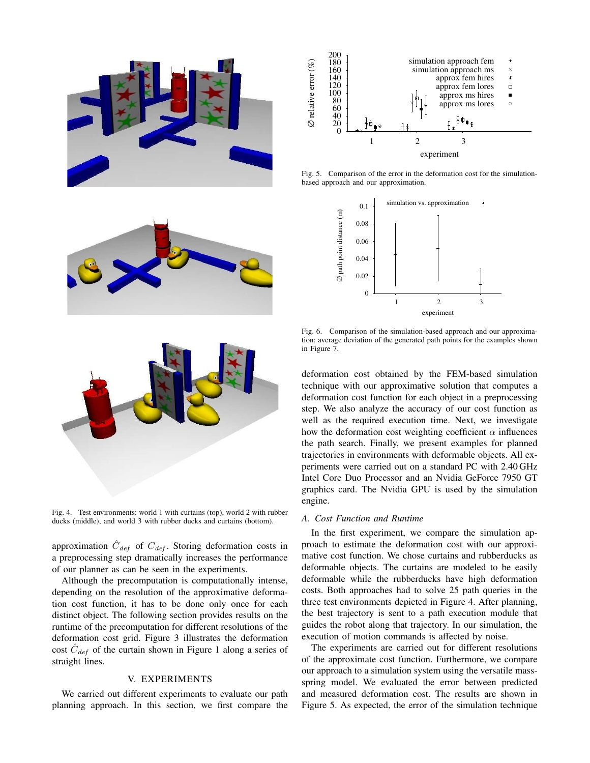

Fig. 4. Test environments: world 1 with curtains (top), world 2 with rubber ducks (middle), and world 3 with rubber ducks and curtains (bottom).

approximation  $\hat{C}_{def}$  of  $C_{def}$ . Storing deformation costs in a preprocessing step dramatically increases the performance of our planner as can be seen in the experiments.

Although the precomputation is computationally intense, depending on the resolution of the approximative deformation cost function, it has to be done only once for each distinct object. The following section provides results on the runtime of the precomputation for different resolutions of the deformation cost grid. Figure 3 illustrates the deformation cost  $\hat{C}_{def}$  of the curtain shown in Figure 1 along a series of straight lines.

## V. EXPERIMENTS

We carried out different experiments to evaluate our path planning approach. In this section, we first compare the



Fig. 5. Comparison of the error in the deformation cost for the simulationbased approach and our approximation.



Fig. 6. Comparison of the simulation-based approach and our approximation: average deviation of the generated path points for the examples shown in Figure 7.

deformation cost obtained by the FEM-based simulation technique with our approximative solution that computes a deformation cost function for each object in a preprocessing step. We also analyze the accuracy of our cost function as well as the required execution time. Next, we investigate how the deformation cost weighting coefficient  $\alpha$  influences the path search. Finally, we present examples for planned trajectories in environments with deformable objects. All experiments were carried out on a standard PC with 2.40 GHz Intel Core Duo Processor and an Nvidia GeForce 7950 GT graphics card. The Nvidia GPU is used by the simulation engine.

#### *A. Cost Function and Runtime*

In the first experiment, we compare the simulation approach to estimate the deformation cost with our approximative cost function. We chose curtains and rubberducks as deformable objects. The curtains are modeled to be easily deformable while the rubberducks have high deformation costs. Both approaches had to solve 25 path queries in the three test environments depicted in Figure 4. After planning, the best trajectory is sent to a path execution module that guides the robot along that trajectory. In our simulation, the execution of motion commands is affected by noise.

The experiments are carried out for different resolutions of the approximate cost function. Furthermore, we compare our approach to a simulation system using the versatile massspring model. We evaluated the error between predicted and measured deformation cost. The results are shown in Figure 5. As expected, the error of the simulation technique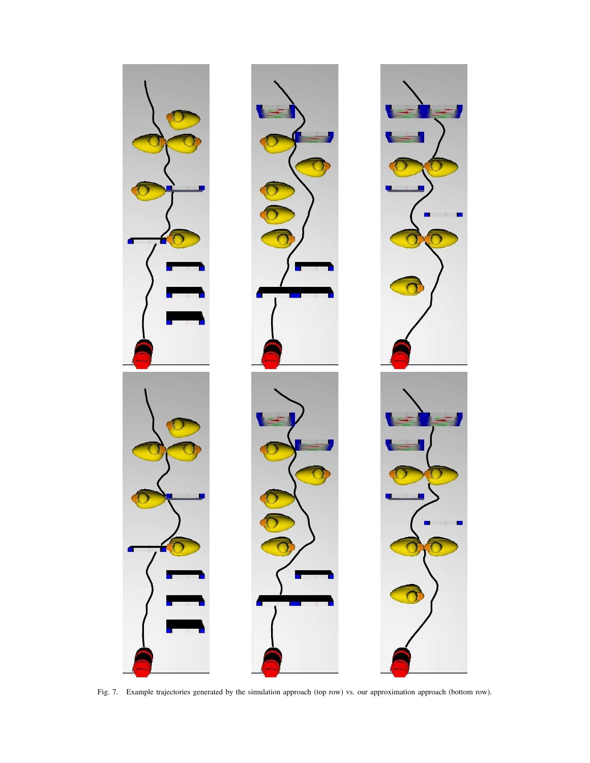

Fig. 7. Example trajectories generated by the simulation approach (top row) vs. our approximation approach (bottom row).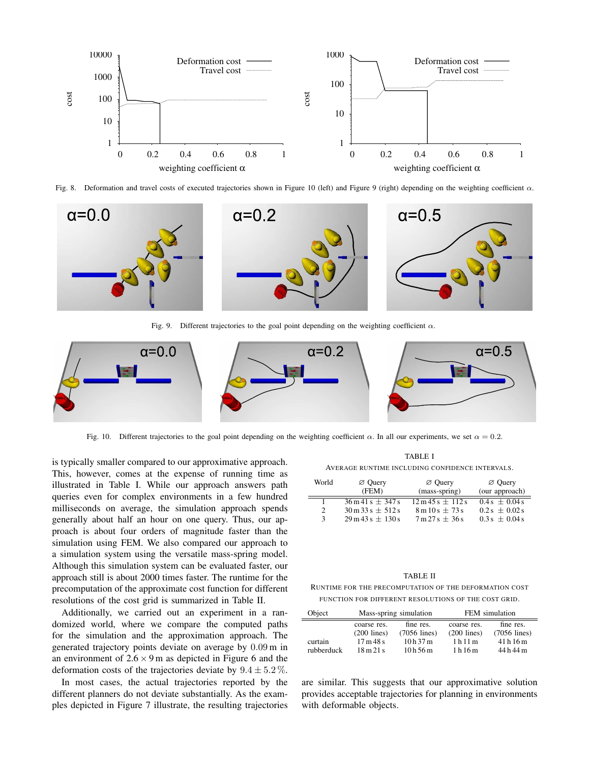

Fig. 8. Deformation and travel costs of executed trajectories shown in Figure 10 (left) and Figure 9 (right) depending on the weighting coefficient  $\alpha$ .



Fig. 9. Different trajectories to the goal point depending on the weighting coefficient  $\alpha$ .



Fig. 10. Different trajectories to the goal point depending on the weighting coefficient  $\alpha$ . In all our experiments, we set  $\alpha = 0.2$ .

is typically smaller compared to our approximative approach. This, however, comes at the expense of running time as illustrated in Table I. While our approach answers path queries even for complex environments in a few hundred milliseconds on average, the simulation approach spends generally about half an hour on one query. Thus, our approach is about four orders of magnitude faster than the simulation using FEM. We also compared our approach to a simulation system using the versatile mass-spring model. Although this simulation system can be evaluated faster, our approach still is about 2000 times faster. The runtime for the precomputation of the approximate cost function for different resolutions of the cost grid is summarized in Table II.

Additionally, we carried out an experiment in a randomized world, where we compare the computed paths for the simulation and the approximation approach. The generated trajectory points deviate on average by 0.09 m in an environment of  $2.6 \times 9$  m as depicted in Figure 6 and the deformation costs of the trajectories deviate by  $9.4 \pm 5.2\%$ .

In most cases, the actual trajectories reported by the different planners do not deviate substantially. As the examples depicted in Figure 7 illustrate, the resulting trajectories

TABLE I

AVERAGE RUNTIME INCLUDING CONFIDENCE INTERVALS.

| World                       | $\varnothing$ Query                           | $\varnothing$ Ouery                             | $\varnothing$ Query |
|-----------------------------|-----------------------------------------------|-------------------------------------------------|---------------------|
|                             | (FEM)                                         | (mass-spring)                                   | (our approach)      |
|                             | $36 \text{ m} 41 \text{ s} + 347 \text{ s}$   | $12 \text{ m } 45 \text{ s } \pm 112 \text{ s}$ | $0.4s + 0.04s$      |
| $\mathcal{D}_{\mathcal{L}}$ | $30 \text{ m}$ 33 s $\pm$ 512 s               | $8 \text{ m} 10 \text{ s} \pm 73 \text{ s}$     | $0.2s + 0.02s$      |
| 3                           | $29 \text{ m} 43 \text{ s} \pm 130 \text{ s}$ | $7 \text{ m} 27 \text{ s} \pm 36 \text{ s}$     | $0.3s + 0.04s$      |

#### TABLE II

RUNTIME FOR THE PRECOMPUTATION OF THE DEFORMATION COST FUNCTION FOR DIFFERENT RESOLUTIONS OF THE COST GRID.

| Object     | Mass-spring simulation      |                | FEM simulation |                |
|------------|-----------------------------|----------------|----------------|----------------|
|            | coarse res.                 | fine res.      | coarse res.    | fine res.      |
|            | $(200$ lines)               | $(7056$ lines) | $(200$ lines)  | $(7056$ lines) |
| curtain    | 17m48s                      | 10h37m         | 1h11m          | 41h16m         |
| rubberduck | $18 \text{ m} 21 \text{ s}$ | 10h56m         | 1 h 16 m       | 44 h 44 m      |

are similar. This suggests that our approximative solution provides acceptable trajectories for planning in environments with deformable objects.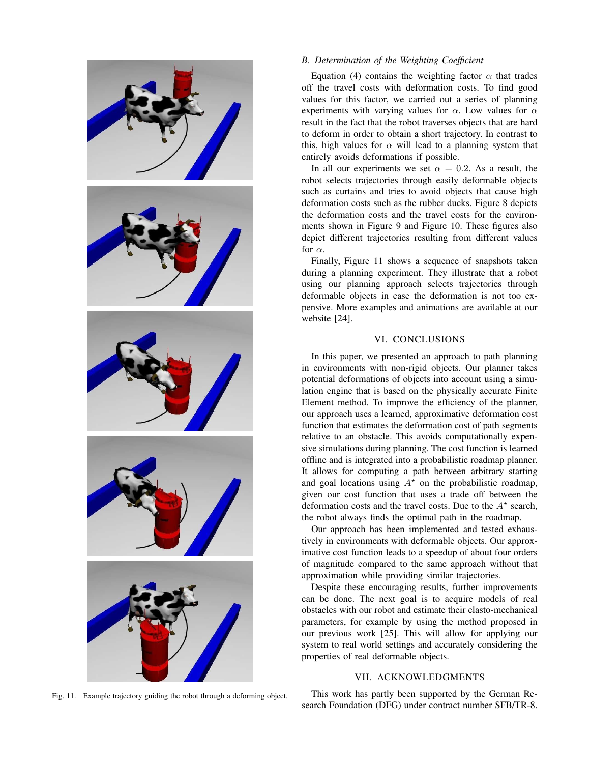

# Equation (4) contains the weighting factor  $\alpha$  that trades

*B. Determination of the Weighting Coefficient*

off the travel costs with deformation costs. To find good values for this factor, we carried out a series of planning experiments with varying values for  $\alpha$ . Low values for  $\alpha$ result in the fact that the robot traverses objects that are hard to deform in order to obtain a short trajectory. In contrast to this, high values for  $\alpha$  will lead to a planning system that entirely avoids deformations if possible.

In all our experiments we set  $\alpha = 0.2$ . As a result, the robot selects trajectories through easily deformable objects such as curtains and tries to avoid objects that cause high deformation costs such as the rubber ducks. Figure 8 depicts the deformation costs and the travel costs for the environments shown in Figure 9 and Figure 10. These figures also depict different trajectories resulting from different values for  $\alpha$ .

Finally, Figure 11 shows a sequence of snapshots taken during a planning experiment. They illustrate that a robot using our planning approach selects trajectories through deformable objects in case the deformation is not too expensive. More examples and animations are available at our website [24].

## VI. CONCLUSIONS

In this paper, we presented an approach to path planning in environments with non-rigid objects. Our planner takes potential deformations of objects into account using a simulation engine that is based on the physically accurate Finite Element method. To improve the efficiency of the planner, our approach uses a learned, approximative deformation cost function that estimates the deformation cost of path segments relative to an obstacle. This avoids computationally expensive simulations during planning. The cost function is learned offline and is integrated into a probabilistic roadmap planner. It allows for computing a path between arbitrary starting and goal locations using  $A^*$  on the probabilistic roadmap, given our cost function that uses a trade off between the deformation costs and the travel costs. Due to the  $A^*$  search, the robot always finds the optimal path in the roadmap.

Our approach has been implemented and tested exhaustively in environments with deformable objects. Our approximative cost function leads to a speedup of about four orders of magnitude compared to the same approach without that approximation while providing similar trajectories.

Despite these encouraging results, further improvements can be done. The next goal is to acquire models of real obstacles with our robot and estimate their elasto-mechanical parameters, for example by using the method proposed in our previous work [25]. This will allow for applying our system to real world settings and accurately considering the properties of real deformable objects.

## VII. ACKNOWLEDGMENTS

This work has partly been supported by the German Research Foundation (DFG) under contract number SFB/TR-8.

Fig. 11. Example trajectory guiding the robot through a deforming object.